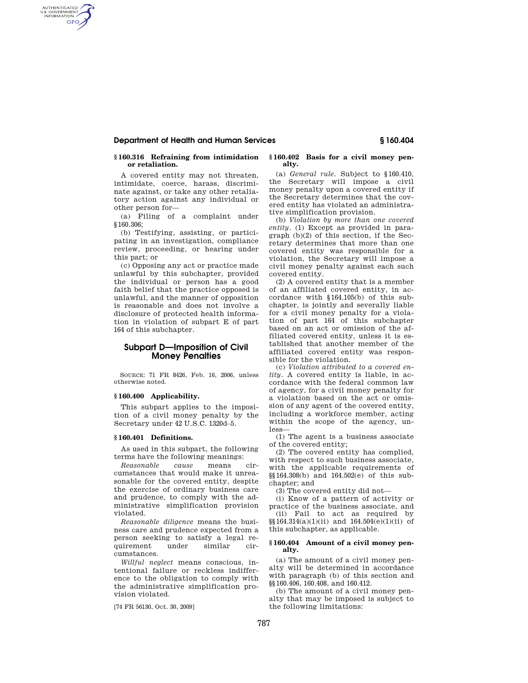# **Department of Health and Human Services § 160.404**

## **§ 160.316 Refraining from intimidation or retaliation.**

AUTHENTICATED<br>U.S. GOVERNMENT<br>INFORMATION **GPO** 

> A covered entity may not threaten, intimidate, coerce, harass, discriminate against, or take any other retaliatory action against any individual or other person for—

> (a) Filing of a complaint under §160.306;

> (b) Testifying, assisting, or participating in an investigation, compliance review, proceeding, or hearing under this part; or

> (c) Opposing any act or practice made unlawful by this subchapter, provided the individual or person has a good faith belief that the practice opposed is unlawful, and the manner of opposition is reasonable and does not involve a disclosure of protected health information in violation of subpart E of part 164 of this subchapter.

# **Subpart D—Imposition of Civil Money Penalties**

SOURCE: 71 FR 8426, Feb. 16, 2006, unless otherwise noted.

# **§ 160.400 Applicability.**

This subpart applies to the imposition of a civil money penalty by the Secretary under 42 U.S.C. 1320d–5.

#### **§ 160.401 Definitions.**

As used in this subpart, the following terms have the following meanings:

*Reasonable cause* means circumstances that would make it unreasonable for the covered entity, despite the exercise of ordinary business care and prudence, to comply with the administrative simplification provision violated.

*Reasonable diligence* means the business care and prudence expected from a person seeking to satisfy a legal requirement under similar circumstances.

*Willful neglect* means conscious, intentional failure or reckless indifference to the obligation to comply with the administrative simplification provision violated.

[74 FR 56130, Oct. 30, 2009]

#### **§ 160.402 Basis for a civil money penalty.**

(a) *General rule.* Subject to §160.410, the Secretary will impose a civil money penalty upon a covered entity if the Secretary determines that the covered entity has violated an administrative simplification provision.

(b) *Violation by more than one covered entity.* (1) Except as provided in paragraph (b)(2) of this section, if the Secretary determines that more than one covered entity was responsible for a violation, the Secretary will impose a civil money penalty against each such covered entity.

(2) A covered entity that is a member of an affiliated covered entity, in accordance with §164.105(b) of this subchapter, is jointly and severally liable for a civil money penalty for a violation of part 164 of this subchapter based on an act or omission of the affiliated covered entity, unless it is established that another member of the affiliated covered entity was responsible for the violation.

(c) *Violation attributed to a covered entity.* A covered entity is liable, in accordance with the federal common law of agency, for a civil money penalty for a violation based on the act or omission of any agent of the covered entity, including a workforce member, acting within the scope of the agency, unless—

(1) The agent is a business associate of the covered entity;

(2) The covered entity has complied, with respect to such business associate, with the applicable requirements of §§164.308(b) and 164.502(e) of this subchapter; and

(3) The covered entity did not—

(i) Know of a pattern of activity or practice of the business associate, and (ii) Fail to act as required by  $\S(164.314(a)(1)(ii)$  and  $164.504(e)(1)(ii)$  of this subchapter, as applicable.

#### **§ 160.404 Amount of a civil money penalty.**

(a) The amount of a civil money penalty will be determined in accordance with paragraph (b) of this section and §§160.406, 160.408, and 160.412.

(b) The amount of a civil money penalty that may be imposed is subject to the following limitations: